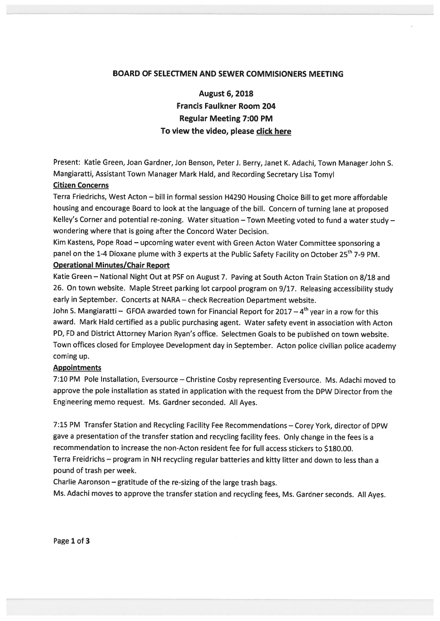### BOARD OF SELECTMEN AND SEWER COMMISIONERS MEETING

August 6, 2018 Francis Faulkner Room 204 Regular Meeting 7:00 PM To view the video, please click here

Present: Katie Green, Joan Gardner, Jon Benson, Peter J. Berry, Janet K. Adachi, Town Manager John S. Mangiaratti, Assistant Town Manager Mark Hald, and Recording Secretary Lisa Tomyl

#### Citizen Concerns

Terra Friedrichs, West Acton - bill in formal session H4290 Housing Choice Bill to get more affordable housing and encourage Board to look at the language of the bill. Concern of turning lane at propose<sup>d</sup> Kelley's Corner and potential re-zoning. Water situation - Town Meeting voted to fund a water study wondering where that is going after the Concord Water Decision.

Kim Kastens, Pope Road — upcoming water event with Green Acton Water Committee sponsoring <sup>a</sup> panel on the 1-4 Dioxane plume with 3 experts at the Public Safety Facility on October 25<sup>th</sup> 7-9 PM.

# Operational Minutes/Chair Report

Katie Green — National Night Out at PSF on August 7. Paving at South Acton Train Station on 8/18 and 26. On town website. Maple Street parking lot carpoo<sup>l</sup> program on 9/17. Releasing accessibility study early in September. Concerts at NARA — check Recreation Department website.

John S. Mangiaratti – GFOA awarded town for Financial Report for 2017 –  $4<sup>th</sup>$  year in a row for this award. Mark Hald certified as <sup>a</sup> public purchasing agent. Water safety event in association with Acton PD, FD and District Attorney Marion Ryan's office. Selectmen Goals to be published on town website. Town offices closed for Employee Development day in September. Acton police civilian police academy coming up.

#### Appointments

7:10 PM Pole Installation, Eversource — Christine Cosby representing Eversource. Ms. Adachi moved to approve the pole installation as stated in application with the reques<sup>t</sup> from the DPW Director from the Engineering memo request. Ms. Gardner seconded. All Ayes.

7:15 PM Transfer Station and Recycling Facility Fee Recommendations — Corey York, director of DPW gave <sup>a</sup> presentation of the transfer station and recycling facility fees. Only change in the fees is <sup>a</sup> recommendation to increase the non-Acton resident fee for full access stickers to \$180.00. Terra Freidrichs — program in NH recycling regular batteries and kitty litter and down to less than <sup>a</sup> pound of trash per week.

Charlie Aaronson —gratitude of the re-sizing of the large trash bags.

Ms. Adachi moves to approve the transfer station and recycling fees, Ms. Gardner seconds. All Ayes.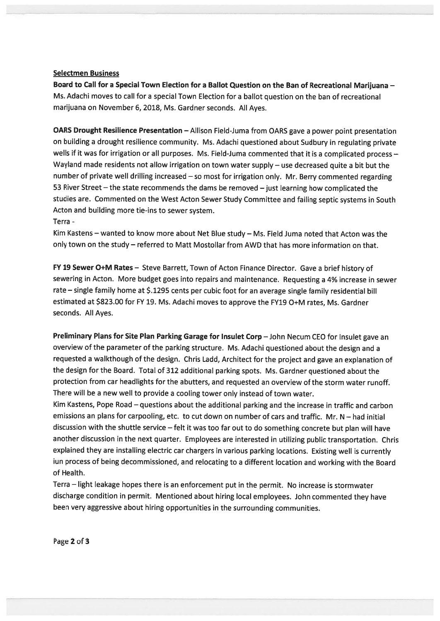### Selectmen Business

Board to Call for <sup>a</sup> Special Town Election for <sup>a</sup> Ballot Question on the Ban of Recreational Marijuana — Ms. Adachi moves to call for <sup>a</sup> special Town Election for <sup>a</sup> ballot question on the ban of recreational marijuana on November 6, 2018, Ms. Gardner seconds. All Ayes.

OARS Drought Resilience Presentation — Allison Field-Juma from OARS gave <sup>a</sup> power point presentation on building <sup>a</sup> drought resilience community. Ms. Adachi questioned about Sudbury in regulating private wells if it was for irrigation or all purposes. Ms. Field-Juma commented that it is a complicated process -Wayland made residents not allow irrigation on town water supply — use decreased quite <sup>a</sup> bit but the number of private well drilling increased — so most for irrigation only. Mr. Berry commented regarding 53 River Street – the state recommends the dams be removed – just learning how complicated the studies are. Commented on the West Acton Sewer Study Committee and failing septic systems in South Acton and building more tie-ins to sewer system. Terra -

Kim Kastens — wanted to know more about Net Blue study — Ms. Field Juma noted that Acton was the only town on the study — referred to Matt Mostollar from AWD that has more information on that.

FY <sup>19</sup> Sewer O+M Rates — Steve Barrett, Town of Acton Finance Director. Gave <sup>a</sup> brief history of sewering in Acton. More budget goes into repairs and maintenance. Requesting <sup>a</sup> 4% increase in sewer rate — single family home at \$.1295 cents per cubic foot for an average single family residential bill estimated at \$223.00 for FY 19. Ms. Adachi moves to approve the FY19 O+M rates, Ms. Gardner seconds. All Ayes.

Preliminary Plans for Site Plan Parking Garage for Insulet Corp — John Necum CEO for Insulet gave an overview of the parameter of the parking structure. Ms. Adachi questioned about the design and <sup>a</sup> requested <sup>a</sup> walkthough of the design. Chris Ladd, Architect for the project and gave an explanation of the design for the Board. Total of <sup>312</sup> additional parking spots. Ms. Gardner questioned about the protection from car headlights for the abutters, and requested an overview of the storm water runoff. There will be <sup>a</sup> new well to provide <sup>a</sup> cooling tower only instead of town water.

Kim Kastens, Pope Road — questions about the additional parking and the increase in traffic and carbon emissions an plans for carpooling, etc. to cut down on number of cars and traffic. Mr. N — had initial discussion with the shuttle service — felt it was too far out to do something concrete but <sup>p</sup>lan will have another discussion in the next quarter. Employees are interested in utilizing public transportation. Chris explained they are installing electric car chargers in various parking locations. Existing well is currently iun process of being decommissioned, and relocating to <sup>a</sup> different location and working with the Board of Health.

Terra — light leakage hopes there is an enforcement pu<sup>t</sup> in the permit. No increase is stormwater discharge condition in permit. Mentioned about hiring local employees. John commented they have been very aggressive about hiring opportunities in the surrounding communities.

Page 2 of 3